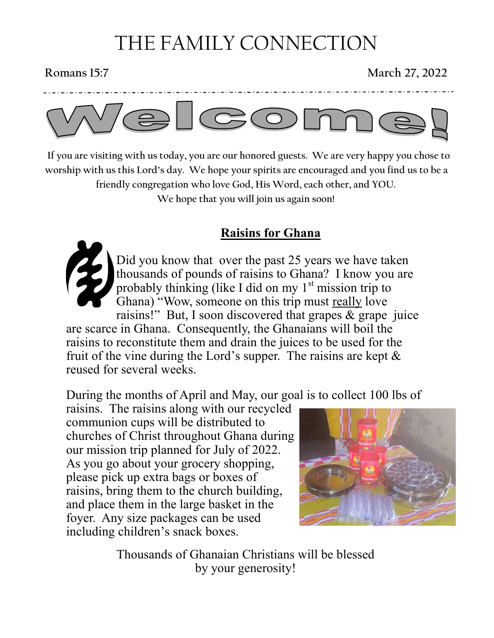# THE FAMILY CONNECTION

## **Romans 15:7 March 27, 2022**



 **If you are visiting with us today, you are our honored guests. We are very happy you chose to worship with us this Lord's day. We hope your spirits are encouraged and you find us to be a friendly congregation who love God, His Word, each other, and YOU. We hope that you will join us again soon!**

## **Raisins for Ghana**



Did you know that over the past 25 years we have taken thousands of pounds of raisins to Ghana? I know you are probably thinking (like I did on my  $1<sup>st</sup>$  mission trip to Ghana) "Wow, someone on this trip must really love raisins!" But, I soon discovered that grapes & grape juice

are scarce in Ghana. Consequently, the Ghanaians will boil the raisins to reconstitute them and drain the juices to be used for the fruit of the vine during the Lord's supper. The raisins are kept  $\&$ reused for several weeks.

During the months of April and May, our goal is to collect 100 lbs of

raisins. The raisins along with our recycled communion cups will be distributed to churches of Christ throughout Ghana during our mission trip planned for July of 2022. As you go about your grocery shopping, please pick up extra bags or boxes of raisins, bring them to the church building, and place them in the large basket in the foyer. Any size packages can be used including children's snack boxes.



Thousands of Ghanaian Christians will be blessed by your generosity!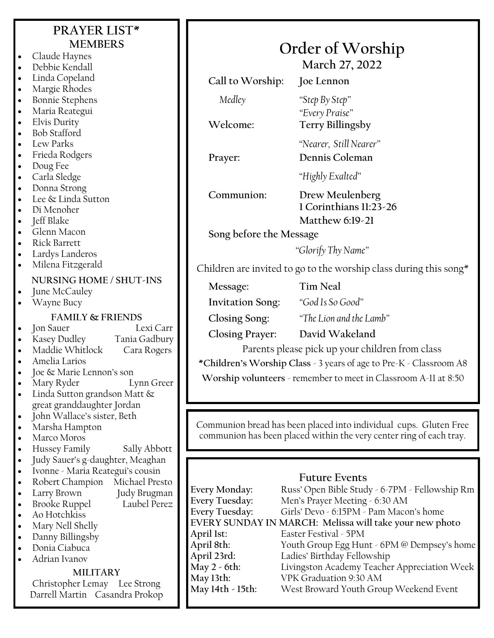## **PRAYER LIST\* MEMBERS** • Claude Haynes

• Linda Copeland • Margie Rhodes • Bonnie Stephens • Maria Reategui • Elvis Durity • Bob Stafford • Lew Parks • Frieda Rodgers

• Debbie Kendall

- Doug Fee
- Carla Sledge
- Donna Strong
- Lee & Linda Sutton
- Di Menoher
- Jeff Blake
- Glenn Macon
- Rick Barrett
- Lardys Landeros
- Milena Fitzgerald

### **NURSING HOME / SHUT-INS**

- June McCauley
- Wayne Bucy

- **FAMILY & FRIENDS Jon Sauer**
- Kasey Dudley Tania Gadbury
- Maddie Whitlock Cara Rogers
- Amelia Larios
- Joe & Marie Lennon's son
- Mary Ryder Lynn Greer
- Linda Sutton grandson Matt & great granddaughter Jordan
- John Wallace's sister, Beth
- Marsha Hampton
- Marco Moros
- Hussey Family Sally Abbott
- Judy Sauer's g-daughter, Meaghan
- Ivonne Maria Reategui's cousin
- Robert Champion Michael Presto
- Larry Brown Judy Brugman
- Brooke Ruppel Laubel Perez
- Ao Hotchkiss
- Mary Nell Shelly
- Danny Billingsby
- Donia Ciabuca
- Adrian Ivanov

#### **MILITARY**

Christopher Lemay Lee Strong Darrell Martin Casandra Prokop

**March 27, 2022 Call to Worship: Joe Lennon** *Medley "Step By Step" "Every Praise"* **Welcome: Terry Billingsby** *"Nearer, Still Nearer"* **Prayer: Dennis Coleman** *"Highly Exalted"* **Communion: Drew Meulenberg 1 Corinthians 11:23-26 Matthew 6:19-21 Song before the Message** *"Glorify Thy Name"* Children are invited to go to the worship class during this song $*$ 

**Message: Tim Neal**

**Invitation Song:** *"God Is So Good"*

**Closing Song:** *"The Lion and the Lamb"*

**Closing Prayer: David Wakeland**

Parents please pick up your children from class

**\*Children's Worship Class** - 3 years of age to Pre-K - Classroom A8

**Worship volunteers** - remember to meet in Classroom A-11 at 8:50

Communion bread has been placed into individual cups. Gluten Free communion has been placed within the very center ring of each tray.

### **Future Events**

**Every Monday:** Russ' Open Bible Study - 6-7PM - Fellowship Rm **Every Tuesday:** Men's Prayer Meeting - 6:30 AM **Every Tuesday:** Girls' Devo - 6:15PM - Pam Macon's home **EVERY SUNDAY IN MARCH: Melissa will take your new photo April 1st:** Easter Festival - 5PM April 8th: Youth Group Egg Hunt - 6PM @ Dempsey's home<br>April 23rd: Ladies' Birthday Fellowship Ladies' Birthday Fellowship **May 2 - 6th:** Livingston Academy Teacher Appreciation Week **May 13th:** VPK Graduation 9:30 AM **May 14th - 15th:** West Broward Youth Group Weekend Event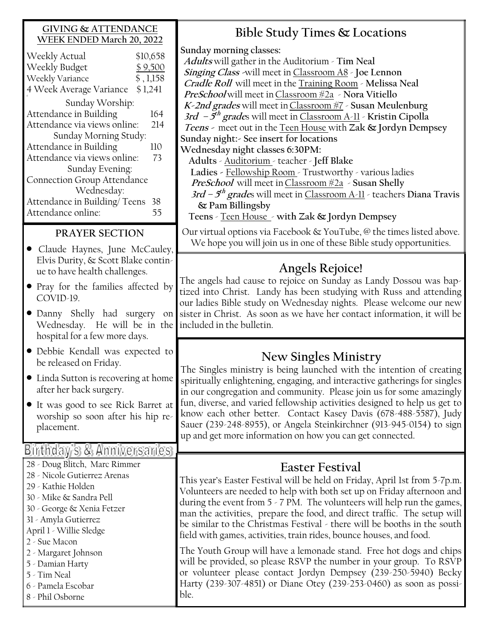#### **GIVING & ATTENDANCE WEEK ENDED March 20, 2022**

| Weekly Actual                      | \$10,658  |
|------------------------------------|-----------|
| Weekly Budget                      | \$9,500   |
| Weekly Variance                    | \$, 1,158 |
| 4 Week Average Variance            | \$1,241   |
| Sunday Worship:                    |           |
| Attendance in Building             | 164       |
| Attendance via views online:       | 214       |
| Sunday Morning Study:              |           |
| Attendance in Building             | 110       |
| Attendance via views online:       | 73        |
| Sunday Evening:                    |           |
| <b>Connection Group Attendance</b> |           |
| Wednesday:                         |           |
| Attendance in Building/Teens       | 38        |
| Attendance online:                 | 55        |
|                                    |           |

## **PRAYER SECTION**

- Claude Haynes, June McCauley, Elvis Durity, & Scott Blake continue to have health challenges.
- Pray for the families affected by COVID-19.
- Danny Shelly had surgery on Wednesday. He will be in the hospital for a few more days.
- Debbie Kendall was expected to be released on Friday.
- Linda Sutton is recovering at home after her back surgery.
- It was good to see Rick Barret at worship so soon after his hip replacement.

## Birthday's & Anniversantes

28 - Doug Blitch, Marc Rimmer 28 - Nicole Gutierrez Arenas 29 - Kathie Holden 30 - Mike & Sandra Pell 30 - George & Xenia Fetzer 31 - Amyla Gutierrez April 1 - Willie Sledge 2 - Sue Macon

- 2 Margaret Johnson
- 5 Damian Harty

5 - Tim Neal 6 - Pamela Escobar

8 - Phil Osborne

**Bible Study Times & Locations**

**Sunday morning classes: Adults** will gather in the Auditorium - **Tim Neal Singing Class -**will meet in Classroom A8 - **Joe Lennon Cradle Roll** will meet in the Training Room - **Melissa Neal PreSchool** will meet inClassroom #2a - **Nora Vitiello K-2nd grades** will meet inClassroom #7 - **Susan Meulenburg 3rd – 5 th grade**s will meet in Classroom A-11 - **Kristin Cipolla Teens -** meet out in the Teen House with **Zak & Jordyn Dempsey Sunday night:- See insert for locations Wednesday night classes 6:30PM: Adults** - Auditorium - teacher - **Jeff Blake** 

 **Ladies -** Fellowship Room - Trustworthy - various ladies **PreSchool** will meet inClassroom #2a - **Susan Shelly**

**3rd – 5 th grade**s will meet in Classroom A-11 - teachers **Diana Travis & Pam Billingsby** 

**Teens** - Teen House - **with Zak & Jordyn Dempsey**

Our virtual options via Facebook & YouTube, @ the times listed above. We hope you will join us in one of these Bible study opportunities.

## **Angels Rejoice!**

The angels had cause to rejoice on Sunday as Landy Dossou was baptized into Christ. Landy has been studying with Russ and attending our ladies Bible study on Wednesday nights. Please welcome our new sister in Christ. As soon as we have her contact information, it will be included in the bulletin.

## **New Singles Ministry**

The Singles ministry is being launched with the intention of creating spiritually enlightening, engaging, and interactive gatherings for singles in our congregation and community. Please join us for some amazingly fun, diverse, and varied fellowship activities designed to help us get to know each other better. Contact Kasey Davis (678-488-5587), Judy Sauer (239-248-8955), or Angela Steinkirchner (913-945-0154) to sign up and get more information on how you can get connected.

## **Easter Festival**

This year's Easter Festival will be held on Friday, April 1st from 5-7p.m. Volunteers are needed to help with both set up on Friday afternoon and during the event from 5 - 7 PM. The volunteers will help run the games, man the activities, prepare the food, and direct traffic. The setup will be similar to the Christmas Festival - there will be booths in the south field with games, activities, train rides, bounce houses, and food.

The Youth Group will have a lemonade stand. Free hot dogs and chips will be provided, so please RSVP the number in your group. To RSVP or volunteer please contact Jordyn Dempsey (239-250-5940) Becky Harty (239-307-4851) or Diane Otey (239-253-0460) as soon as possible.